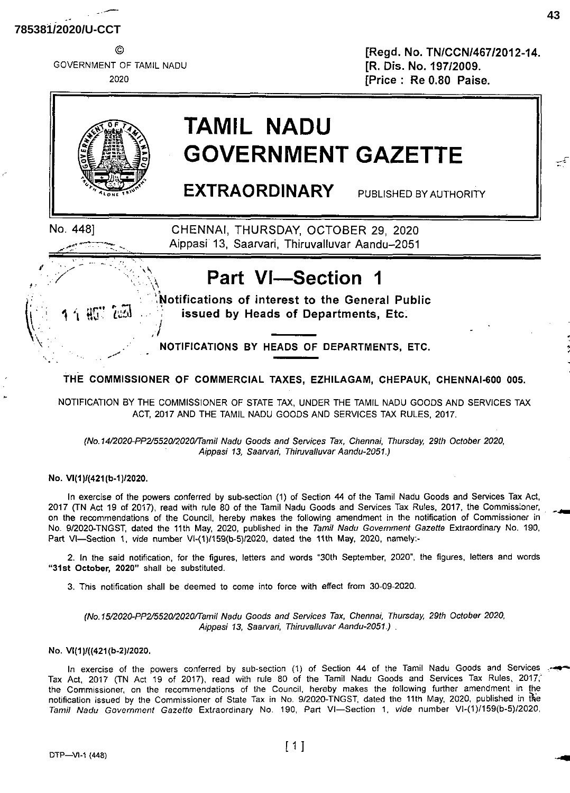GOVERNMENT OF TAMIL NADU 2020

© [Regd. No. TN/CCN/467/2012-14. [R. Dis. No. 197/2009. [Price : Re 0.80 Raise.



## **TAMIL NADU GOVERNMENT GAZETTE**

EXTRAORDINARY PUBLISHED BY AUTHORITY

*t*

No. 448] CHENNAI, THURSDAY, OCTOBER 29, 2020 Aippasi 13, Saarvari, Thiruvalluvar Aandu-2051

## *<sup>f</sup>* •• Part VI—Section <sup>1</sup>

**.Notifications of interest to the General Public iii**  $\frac{1}{2}$  and  $\frac{1}{2}$  issued by Heads of Departments, Etc. ,/

 $N$  **NOTIFICATIONS** BY HEADS OF DEPARTMENTS, ETC.

**THE COMMISSIONER OF COMMERCIAL TAXES, EZHILAGAM, CHEPAUK, CHENNAI-600 005.**

NOTIFICATION BY THE COMMISSIONER OF STATE TAX, UNDER THE TAMIL NADU GOODS AND SERVICES TAX ACT, 2017 AND THE TAMIL NADU GOODS AND SERVICES TAX RULES, 2017.

*(No.14/2020-PP2/5520/2020/Tamil Nadu Goods and Services Tax, Chennai, Thursday, 29th October 2020, Aippasi 13, Saarvari, Thiruvalluvar Aandu-2051.)*

No. VI(1)/(421(b-1)/2020.

In exercise of the powers conferred by sub-section (1) of Section 44 of the Tamil Nadu Goods and Services Tax Act, 2017 (TN Act 19 of 2017), read with rule 80 of the Tamil Nadu Goods and Services Tax Rules, 2017, the Commissioner, on the recommendations of the Council, hereby makes the following amendment in the notification of Commissioner in No. 9/2020-TNGST, dated the 11th May, 2020, published in the *Tamil Nadu Government Gazette* Extraordinary No. 190, Part VI—Section 1, *vide* number VI-(1)/159(b-5)/2020, dated the 11th May, 2020, namely:-

2. In the said notification, for the figures, letters and words "30th September, 2020", the figures, letters and words **"31st October,** 2020" shall be substituted.

3. This notification shall be deemed to come into force with effect from 30-09-2020.

*(No.15/2020-PP2/5520/2Q20/Tamil Nadu Goods and Services Tax, Chennai, Thursday, 29th October 2020, Aippasi 13, Saarvari, Thiruvalluvar Aandu-2051.) .*

## No. Vl(1 )/({421 (b-2)/2020.

In exercise of the powers conferred by sub-section (1) of Section 44 of the Tamil Nadu Goods and Services Tax Act, 2017 (TN Act 19 of 2017), read with rule 80 of the Tamil Nadu Goods and Services Tax Rules, 2017,' the Commissioner, on the recommendations of the Council, hereby makes the following further amendment in the notification issued by the Commissioner of State Tax in No. 9/2020-TNGST, dated the 11th May, 2020, published in the *Tamil Nadu Government Gazette* Extraordinary No. 190, Part VI—Section 1, *vide* number VI-(1)/159(b-5)/2020,

 $\mathbb{R}^{\frac{1}{n}}$